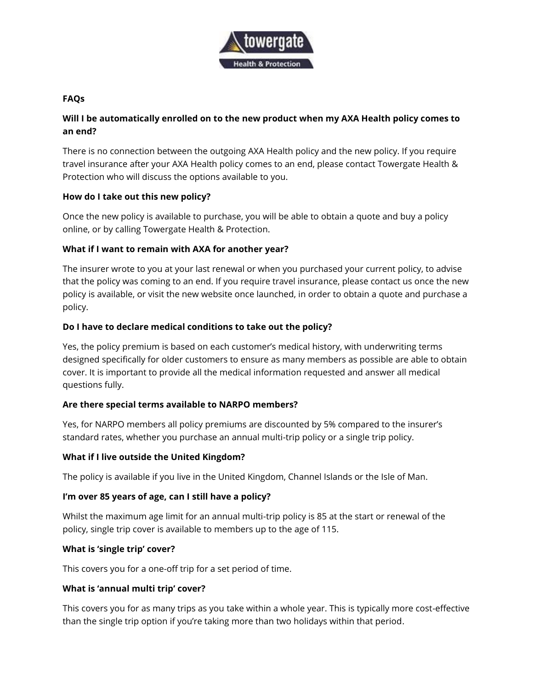

#### **FAQs**

# **Will I be automatically enrolled on to the new product when my AXA Health policy comes to an end?**

There is no connection between the outgoing AXA Health policy and the new policy. If you require travel insurance after your AXA Health policy comes to an end, please contact Towergate Health & Protection who will discuss the options available to you.

## **How do I take out this new policy?**

Once the new policy is available to purchase, you will be able to obtain a quote and buy a policy online, or by calling Towergate Health & Protection.

## **What if I want to remain with AXA for another year?**

The insurer wrote to you at your last renewal or when you purchased your current policy, to advise that the policy was coming to an end. If you require travel insurance, please contact us once the new policy is available, or visit the new website once launched, in order to obtain a quote and purchase a policy.

#### **Do I have to declare medical conditions to take out the policy?**

Yes, the policy premium is based on each customer's medical history, with underwriting terms designed specifically for older customers to ensure as many members as possible are able to obtain cover. It is important to provide all the medical information requested and answer all medical questions fully.

## **Are there special terms available to NARPO members?**

Yes, for NARPO members all policy premiums are discounted by 5% compared to the insurer's standard rates, whether you purchase an annual multi-trip policy or a single trip policy.

## **What if I live outside the United Kingdom?**

The policy is available if you live in the United Kingdom, Channel Islands or the Isle of Man.

## **I'm over 85 years of age, can I still have a policy?**

Whilst the maximum age limit for an annual multi-trip policy is 85 at the start or renewal of the policy, single trip cover is available to members up to the age of 115.

#### **What is 'single trip' cover?**

This covers you for a one-off trip for a set period of time.

## **What is 'annual multi trip' cover?**

This covers you for as many trips as you take within a whole year. This is typically more cost-effective than the single trip option if you're taking more than two holidays within that period.